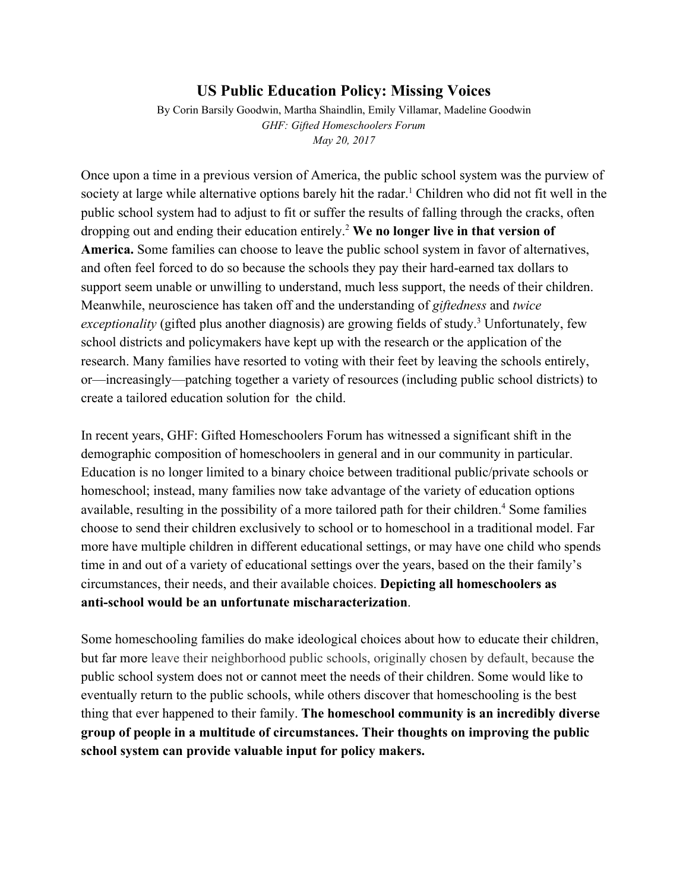## **US Public Education Policy: Missing Voices**

By Corin Barsily Goodwin, Martha Shaindlin, Emily Villamar, Madeline Goodwin *GHF: Gifted Homeschoolers Forum May 20, 2017*

Once upon a time in a previous version of America, the public school system was the purview of society at large while alternative options barely hit the radar.<sup>1</sup> Children who did not fit well in the public school system had to adjust to fit or suffer the results of falling through the cracks, often dropping out and ending their education entirely.<sup>2</sup> **We no longer live in that version of America.** Some families can choose to leave the public school system in favor of alternatives, and often feel forced to do so because the schools they pay their hard-earned tax dollars to support seem unable or unwilling to understand, much less support, the needs of their children. Meanwhile, neuroscience has taken off and the understanding of *giftedness* and *twice* exceptionality (gifted plus another diagnosis) are growing fields of study.<sup>3</sup> Unfortunately, few school districts and policymakers have kept up with the research or the application of the research. Many families have resorted to voting with their feet by leaving the schools entirely, or—increasingly—patching together a variety of resources (including public school districts) to create a tailored education solution for the child.

In recent years, GHF: Gifted Homeschoolers Forum has witnessed a significant shift in the demographic composition of homeschoolers in general and in our community in particular. Education is no longer limited to a binary choice between traditional public/private schools or homeschool; instead, many families now take advantage of the variety of education options available, resulting in the possibility of a more tailored path for their children.<sup>4</sup> Some families choose to send their children exclusively to school or to homeschool in a traditional model. Far more have multiple children in different educational settings, or may have one child who spends time in and out of a variety of educational settings over the years, based on the their family's circumstances, their needs, and their available choices. **Depicting all homeschoolers as anti-school would be an unfortunate mischaracterization**.

Some homeschooling families do make ideological choices about how to educate their children, but far more leave their neighborhood public schools, originally chosen by default, because the public school system does not or cannot meet the needs of their children. Some would like to eventually return to the public schools, while others discover that homeschooling is the best thing that ever happened to their family. **The homeschool community is an incredibly diverse group of people in a multitude of circumstances. Their thoughts on improving the public school system can provide valuable input for policy makers.**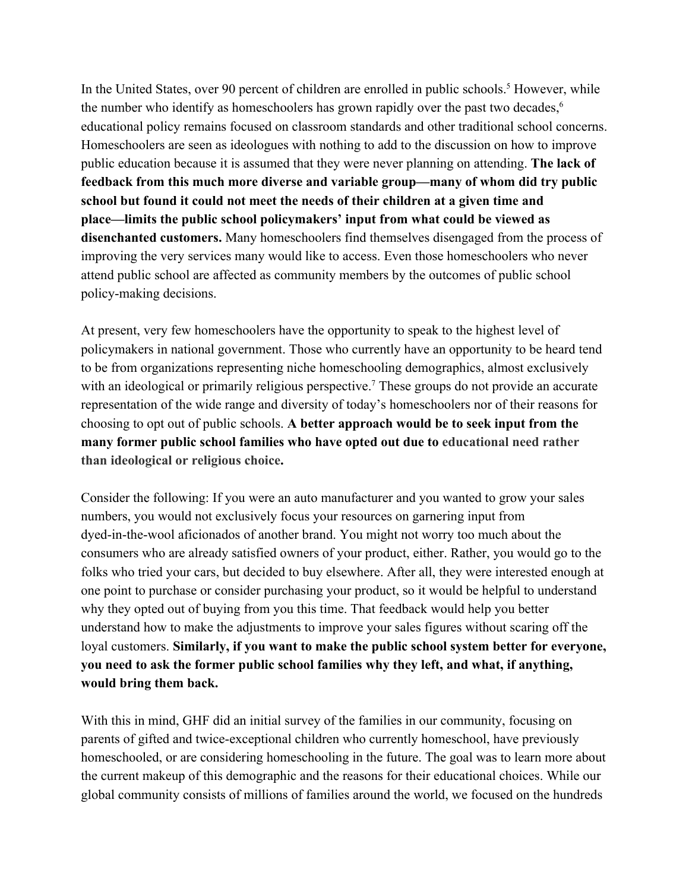In the United States, over 90 percent of children are enrolled in public schools.<sup>5</sup> However, while the number who identify as homeschoolers has grown rapidly over the past two decades,<sup>6</sup> educational policy remains focused on classroom standards and other traditional school concerns. Homeschoolers are seen as ideologues with nothing to add to the discussion on how to improve public education because it is assumed that they were never planning on attending. **The lack of feedback from this much more diverse and variable group—many of whom did try public school but found it could not meet the needs of their children at a given time and place—limits the public school policymakers' input from what could be viewed as disenchanted customers.** Many homeschoolers find themselves disengaged from the process of improving the very services many would like to access. Even those homeschoolers who never attend public school are affected as community members by the outcomes of public school policy-making decisions.

At present, very few homeschoolers have the opportunity to speak to the highest level of policymakers in national government. Those who currently have an opportunity to be heard tend to be from organizations representing niche homeschooling demographics, almost exclusively with an ideological or primarily religious perspective.<sup>7</sup> These groups do not provide an accurate representation of the wide range and diversity of today's homeschoolers nor of their reasons for choosing to opt out of public schools. **A better approach would be to seek input from the many former public school families who have opted out due to educational need rather than ideological or religious choice.**

Consider the following: If you were an auto manufacturer and you wanted to grow your sales numbers, you would not exclusively focus your resources on garnering input from dyed-in-the-wool aficionados of another brand. You might not worry too much about the consumers who are already satisfied owners of your product, either. Rather, you would go to the folks who tried your cars, but decided to buy elsewhere. After all, they were interested enough at one point to purchase or consider purchasing your product, so it would be helpful to understand why they opted out of buying from you this time. That feedback would help you better understand how to make the adjustments to improve your sales figures without scaring off the loyal customers. **Similarly, if you want to make the public school system better for everyone, you need to ask the former public school families why they left, and what, if anything, would bring them back.**

With this in mind, GHF did an initial survey of the families in our community, focusing on parents of gifted and twice-exceptional children who currently homeschool, have previously homeschooled, or are considering homeschooling in the future. The goal was to learn more about the current makeup of this demographic and the reasons for their educational choices. While our global community consists of millions of families around the world, we focused on the hundreds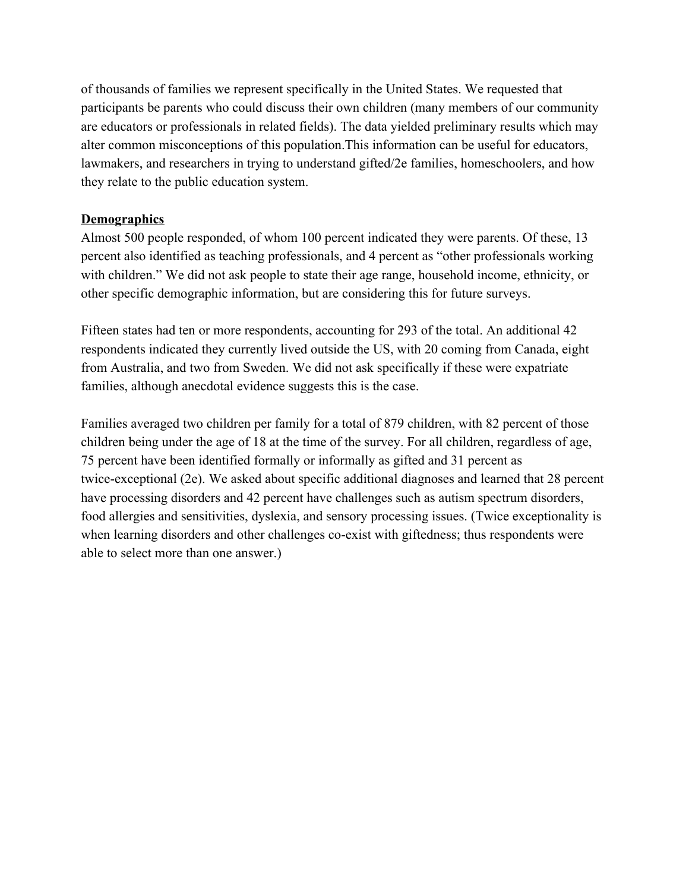of thousands of families we represent specifically in the United States. We requested that participants be parents who could discuss their own children (many members of our community are educators or professionals in related fields). The data yielded preliminary results which may alter common misconceptions of this population.This information can be useful for educators, lawmakers, and researchers in trying to understand gifted/2e families, homeschoolers, and how they relate to the public education system.

#### **Demographics**

Almost 500 people responded, of whom 100 percent indicated they were parents. Of these, 13 percent also identified as teaching professionals, and 4 percent as "other professionals working with children." We did not ask people to state their age range, household income, ethnicity, or other specific demographic information, but are considering this for future surveys.

Fifteen states had ten or more respondents, accounting for 293 of the total. An additional 42 respondents indicated they currently lived outside the US, with 20 coming from Canada, eight from Australia, and two from Sweden. We did not ask specifically if these were expatriate families, although anecdotal evidence suggests this is the case.

Families averaged two children per family for a total of 879 children, with 82 percent of those children being under the age of 18 at the time of the survey. For all children, regardless of age, 75 percent have been identified formally or informally as gifted and 31 percent as twice-exceptional (2e). We asked about specific additional diagnoses and learned that 28 percent have processing disorders and 42 percent have challenges such as autism spectrum disorders, food allergies and sensitivities, dyslexia, and sensory processing issues. (Twice exceptionality is when learning disorders and other challenges co-exist with giftedness; thus respondents were able to select more than one answer.)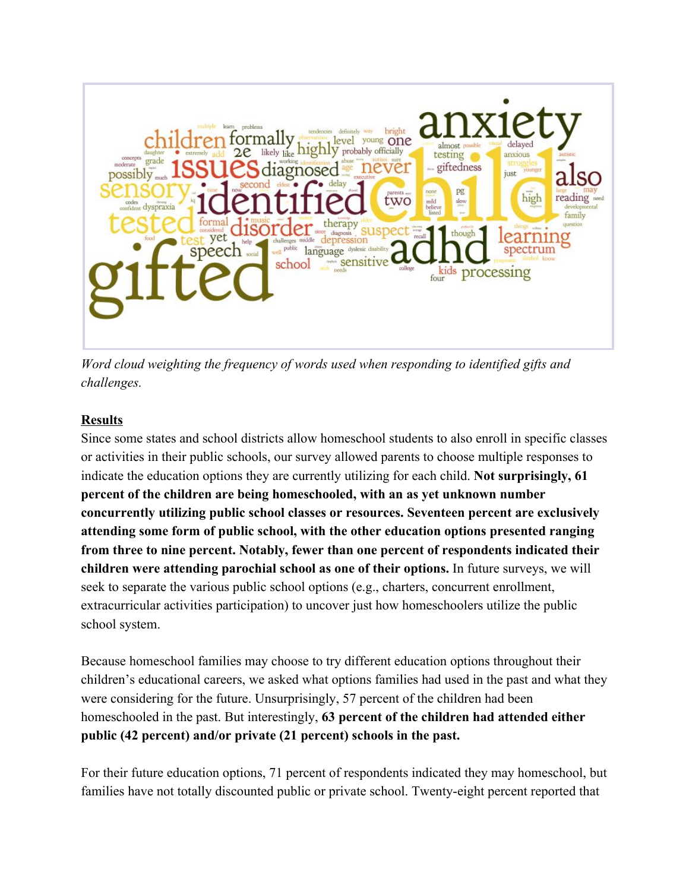

*Word cloud weighting the frequency of words used when responding to identified gifts and challenges.*

# **Results**

Since some states and school districts allow homeschool students to also enroll in specific classes or activities in their public schools, our survey allowed parents to choose multiple responses to indicate the education options they are currently utilizing for each child. **Not surprisingly, 61 percent of the children are being homeschooled, with an as yet unknown number concurrently utilizing public school classes or resources. Seventeen percent are exclusively attending some form of public school, with the other education options presented ranging from three to nine percent. Notably, fewer than one percent of respondents indicated their children were attending parochial school as one of their options.** In future surveys, we will seek to separate the various public school options (e.g., charters, concurrent enrollment, extracurricular activities participation) to uncover just how homeschoolers utilize the public school system.

Because homeschool families may choose to try different education options throughout their children's educational careers, we asked what options families had used in the past and what they were considering for the future. Unsurprisingly, 57 percent of the children had been homeschooled in the past. But interestingly, **63 percent of the children had attended either public (42 percent) and/or private (21 percent) schools in the past.**

For their future education options, 71 percent of respondents indicated they may homeschool, but families have not totally discounted public or private school. Twenty-eight percent reported that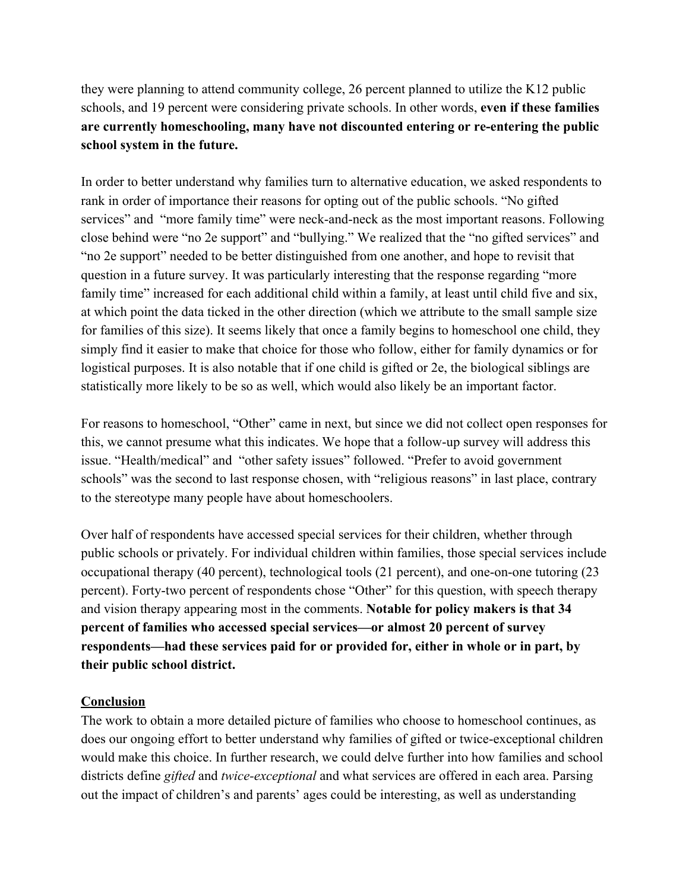they were planning to attend community college, 26 percent planned to utilize the K12 public schools, and 19 percent were considering private schools. In other words, **even if these families are currently homeschooling, many have not discounted entering or re-entering the public school system in the future.**

In order to better understand why families turn to alternative education, we asked respondents to rank in order of importance their reasons for opting out of the public schools. "No gifted services" and "more family time" were neck-and-neck as the most important reasons. Following close behind were "no 2e support" and "bullying." We realized that the "no gifted services" and "no 2e support" needed to be better distinguished from one another, and hope to revisit that question in a future survey. It was particularly interesting that the response regarding "more family time" increased for each additional child within a family, at least until child five and six, at which point the data ticked in the other direction (which we attribute to the small sample size for families of this size). It seems likely that once a family begins to homeschool one child, they simply find it easier to make that choice for those who follow, either for family dynamics or for logistical purposes. It is also notable that if one child is gifted or 2e, the biological siblings are statistically more likely to be so as well, which would also likely be an important factor.

For reasons to homeschool, "Other" came in next, but since we did not collect open responses for this, we cannot presume what this indicates. We hope that a follow-up survey will address this issue. "Health/medical" and "other safety issues" followed. "Prefer to avoid government schools" was the second to last response chosen, with "religious reasons" in last place, contrary to the stereotype many people have about homeschoolers.

Over half of respondents have accessed special services for their children, whether through public schools or privately. For individual children within families, those special services include occupational therapy (40 percent), technological tools (21 percent), and one-on-one tutoring (23 percent). Forty-two percent of respondents chose "Other" for this question, with speech therapy and vision therapy appearing most in the comments. **Notable for policy makers is that 34 percent of families who accessed special services—or almost 20 percent of survey respondents—had these services paid for or provided for, either in whole or in part, by their public school district.**

## **Conclusion**

The work to obtain a more detailed picture of families who choose to homeschool continues, as does our ongoing effort to better understand why families of gifted or twice-exceptional children would make this choice. In further research, we could delve further into how families and school districts define *gifted* and *twice-exceptional* and what services are offered in each area. Parsing out the impact of children's and parents' ages could be interesting, as well as understanding